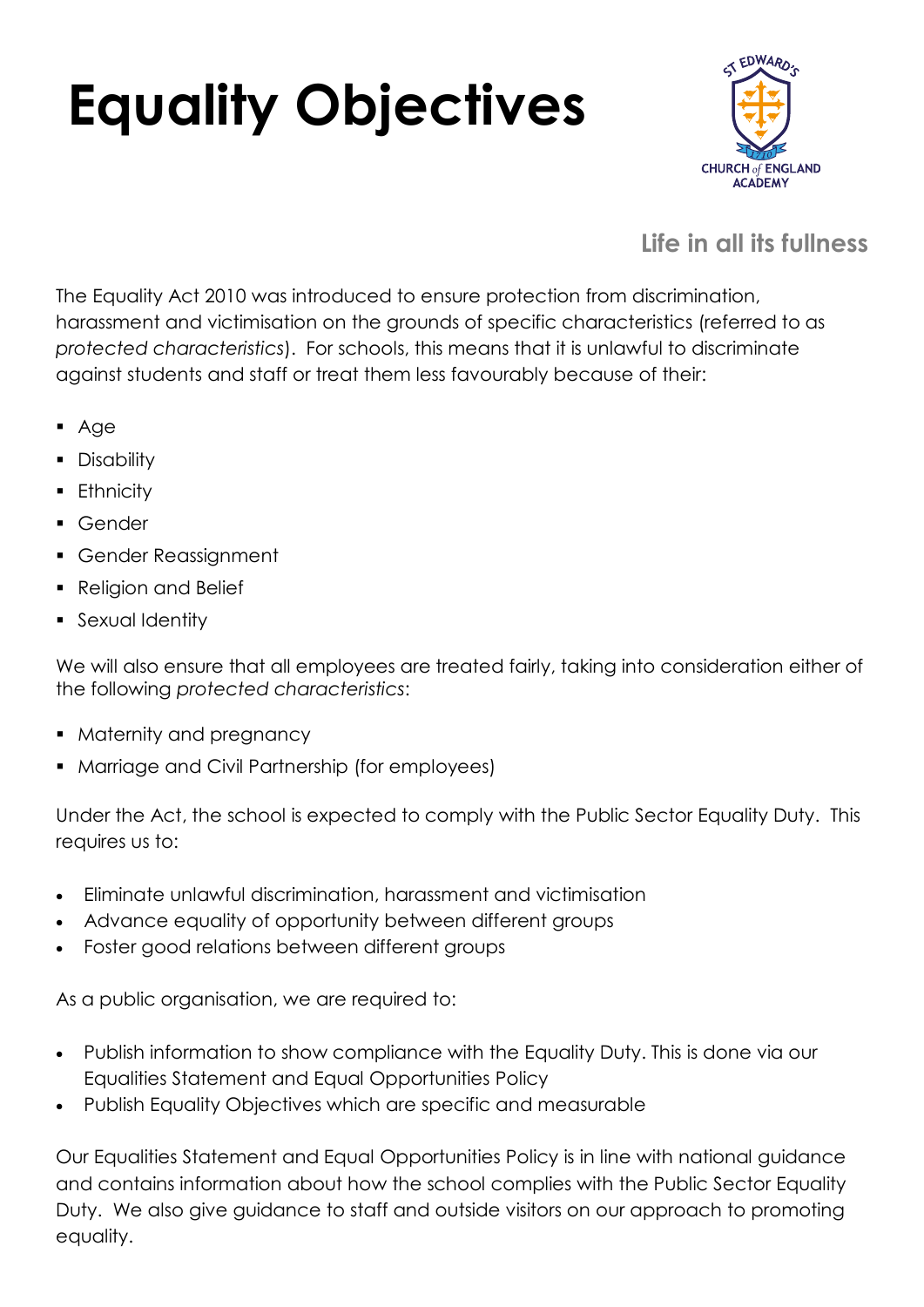## **Equality Objectives**



## **Life in all its fullness**

The Equality Act 2010 was introduced to ensure protection from discrimination, harassment and victimisation on the grounds of specific characteristics (referred to as *protected characteristics*). For schools, this means that it is unlawful to discriminate against students and staff or treat them less favourably because of their:

- Age
- Disability
- **Ethnicity**
- Gender
- Gender Reassignment
- Religion and Belief
- **•** Sexual Identity

We will also ensure that all employees are treated fairly, taking into consideration either of the following *protected characteristics*:

- Maternity and pregnancy
- Marriage and Civil Partnership (for employees)

Under the Act, the school is expected to comply with the Public Sector Equality Duty. This requires us to:

- Eliminate unlawful discrimination, harassment and victimisation
- Advance equality of opportunity between different groups
- Foster good relations between different groups

As a public organisation, we are required to:

- Publish information to show compliance with the Equality Duty. This is done via our Equalities Statement and Equal Opportunities Policy
- Publish Equality Objectives which are specific and measurable

Our Equalities Statement and Equal Opportunities Policy is in line with national guidance and contains information about how the school complies with the Public Sector Equality Duty. We also give guidance to staff and outside visitors on our approach to promoting equality.